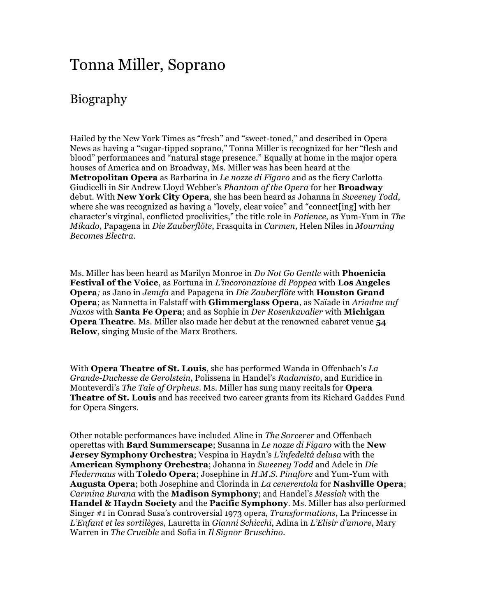## Tonna Miller, Soprano

## Biography

Hailed by the New York Times as "fresh" and "sweet-toned," and described in Opera News as having a "sugar-tipped soprano," Tonna Miller is recognized for her "flesh and blood" performances and "natural stage presence." Equally at home in the major opera houses of America and on Broadway, Ms. Miller was has been heard at the **Metropolitan Opera** as Barbarina in *Le nozze di Figaro* and as the fiery Carlotta Giudicelli in Sir Andrew Lloyd Webber's *Phantom of the Opera* for her **Broadway** debut. With **New York City Opera**, she has been heard as Johanna in *Sweeney Todd*, where she was recognized as having a "lovely, clear voice" and "connect [ing] with her character's virginal, conflicted proclivities," the title role in *Patience,* as Yum-Yum in *The Mikado*, Papagena in *Die Zauberflöte*, Frasquita in *Carmen*, Helen Niles in *Mourning Becomes Electra.*

Ms. Miller has been heard as Marilyn Monroe in *Do Not Go Gentle* with **Phoenicia Festival of the Voice**, as Fortuna in *L'incoronazione di Poppea* with **Los Angeles Opera***;* as Jano in *Jenufa* and Papagena in *Die Zauberflöte* with **Houston Grand Opera**; as Nannetta in Falstaff with **Glimmerglass Opera**, as Naïade in *Ariadne auf Naxos* with **Santa Fe Opera**; and as Sophie in *Der Rosenkavalier* with **Michigan Opera Theatre**. Ms. Miller also made her debut at the renowned cabaret venue **54 Below**, singing Music of the Marx Brothers.

With **Opera Theatre of St. Louis**, she has performed Wanda in Offenbach's *La Grande-Duchesse de Gerolstein*, Polissena in Handel's *Radamisto*, and Euridice in Monteverdi's *The Tale of Orpheus*. Ms. Miller has sung many recitals for **Opera Theatre of St. Louis** and has received two career grants from its Richard Gaddes Fund for Opera Singers.

Other notable performances have included Aline in *The Sorcerer* and Offenbach operettas with **Bard Summerscape**; Susanna in *Le nozze di Figaro* with the **New Jersey Symphony Orchestra**; Vespina in Haydn's *L'infedeltá delusa* with the **American Symphony Orchestra**; Johanna in *Sweeney Todd* and Adele in *Die Fledermaus* with **Toledo Opera**; Josephine in *H.M.S. Pinafore* and Yum-Yum with **Augusta Opera**; both Josephine and Clorinda in *La cenerentola* for **Nashville Opera**; *Carmina Burana* with the **Madison Symphony**; and Handel's *Messiah* with the **Handel & Haydn Society** and the **Pacific Symphony**. Ms. Miller has also performed Singer #1 in Conrad Susa's controversial 1973 opera, *Transformations*, La Princesse in *L'Enfant et les sortilèges*, Lauretta in *Gianni Schicchi*, Adina in *L'Elisir d'amore*, Mary Warren in *The Crucible* and Sofia in *Il Signor Bruschino*.